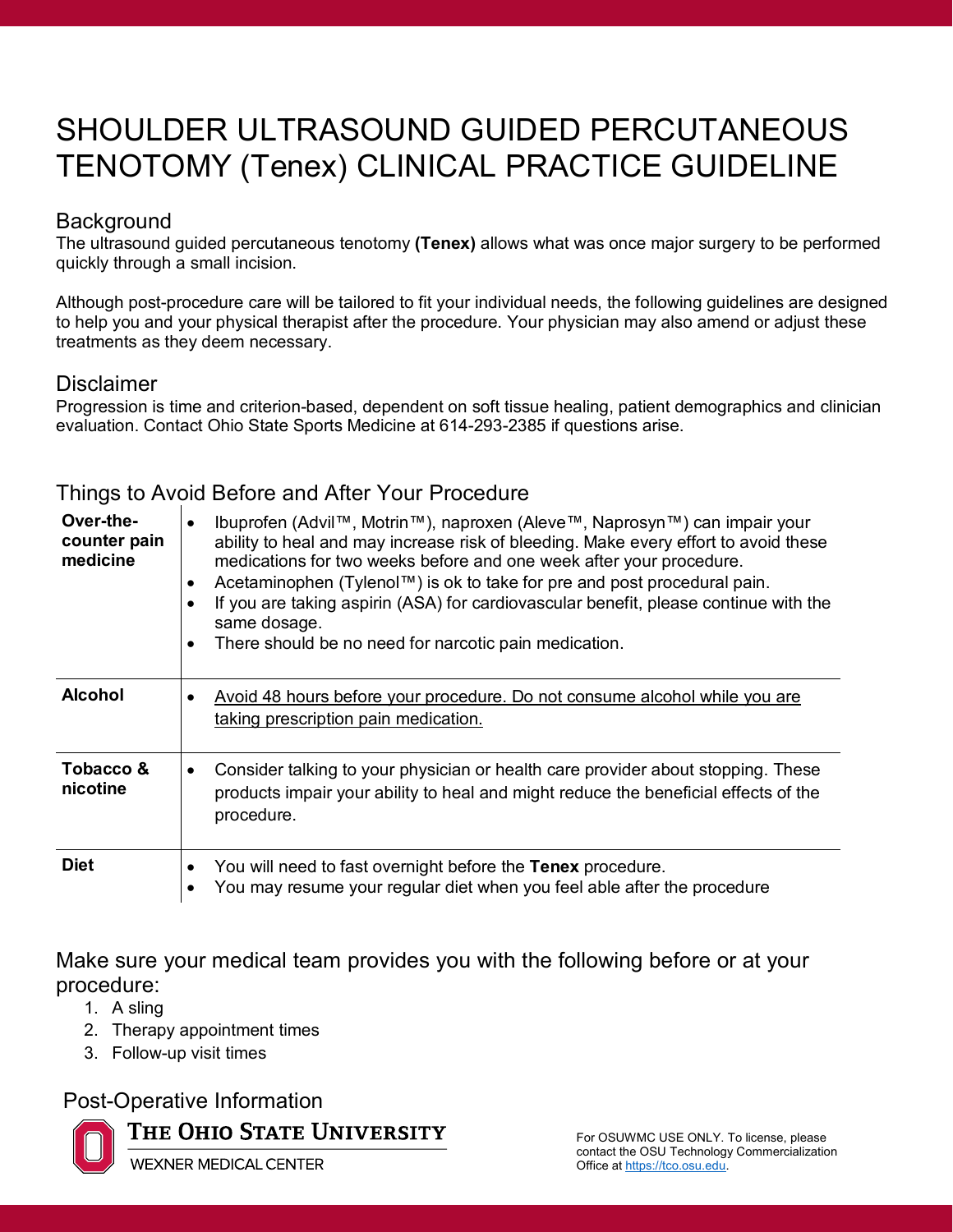# SHOULDER ULTRASOUND GUIDED PERCUTANEOUS TENOTOMY (Tenex) CLINICAL PRACTICE GUIDELINE

#### **Background**

The ultrasound guided percutaneous tenotomy **(Tenex)** allows what was once major surgery to be performed quickly through a small incision.

Although post-procedure care will be tailored to fit your individual needs, the following guidelines are designed to help you and your physical therapist after the procedure. Your physician may also amend or adjust these treatments as they deem necessary.

#### **Disclaimer**

Progression is time and criterion-based, dependent on soft tissue healing, patient demographics and clinician evaluation. Contact Ohio State Sports Medicine at 614-293-2385 if questions arise.

| Over-the-<br>counter pain<br>medicine | Ibuprofen (Advil™, Motrin™), naproxen (Aleve™, Naprosyn™) can impair your<br>ability to heal and may increase risk of bleeding. Make every effort to avoid these<br>medications for two weeks before and one week after your procedure.<br>Acetaminophen (Tylenol™) is ok to take for pre and post procedural pain.<br>If you are taking aspirin (ASA) for cardiovascular benefit, please continue with the<br>same dosage.<br>There should be no need for narcotic pain medication. |
|---------------------------------------|--------------------------------------------------------------------------------------------------------------------------------------------------------------------------------------------------------------------------------------------------------------------------------------------------------------------------------------------------------------------------------------------------------------------------------------------------------------------------------------|
| <b>Alcohol</b>                        | Avoid 48 hours before your procedure. Do not consume alcohol while you are<br>taking prescription pain medication.                                                                                                                                                                                                                                                                                                                                                                   |
| Tobacco &<br>nicotine                 | Consider talking to your physician or health care provider about stopping. These<br>products impair your ability to heal and might reduce the beneficial effects of the<br>procedure.                                                                                                                                                                                                                                                                                                |
| <b>Diet</b>                           | You will need to fast overnight before the Tenex procedure.<br>You may resume your regular diet when you feel able after the procedure                                                                                                                                                                                                                                                                                                                                               |

### Things to Avoid Before and After Your Procedure

Make sure your medical team provides you with the following before or at your procedure:

- 1. A sling
- 2. Therapy appointment times
- 3. Follow-up visit times

#### Post-Operative Information



THE OHIO STATE UNIVERSITY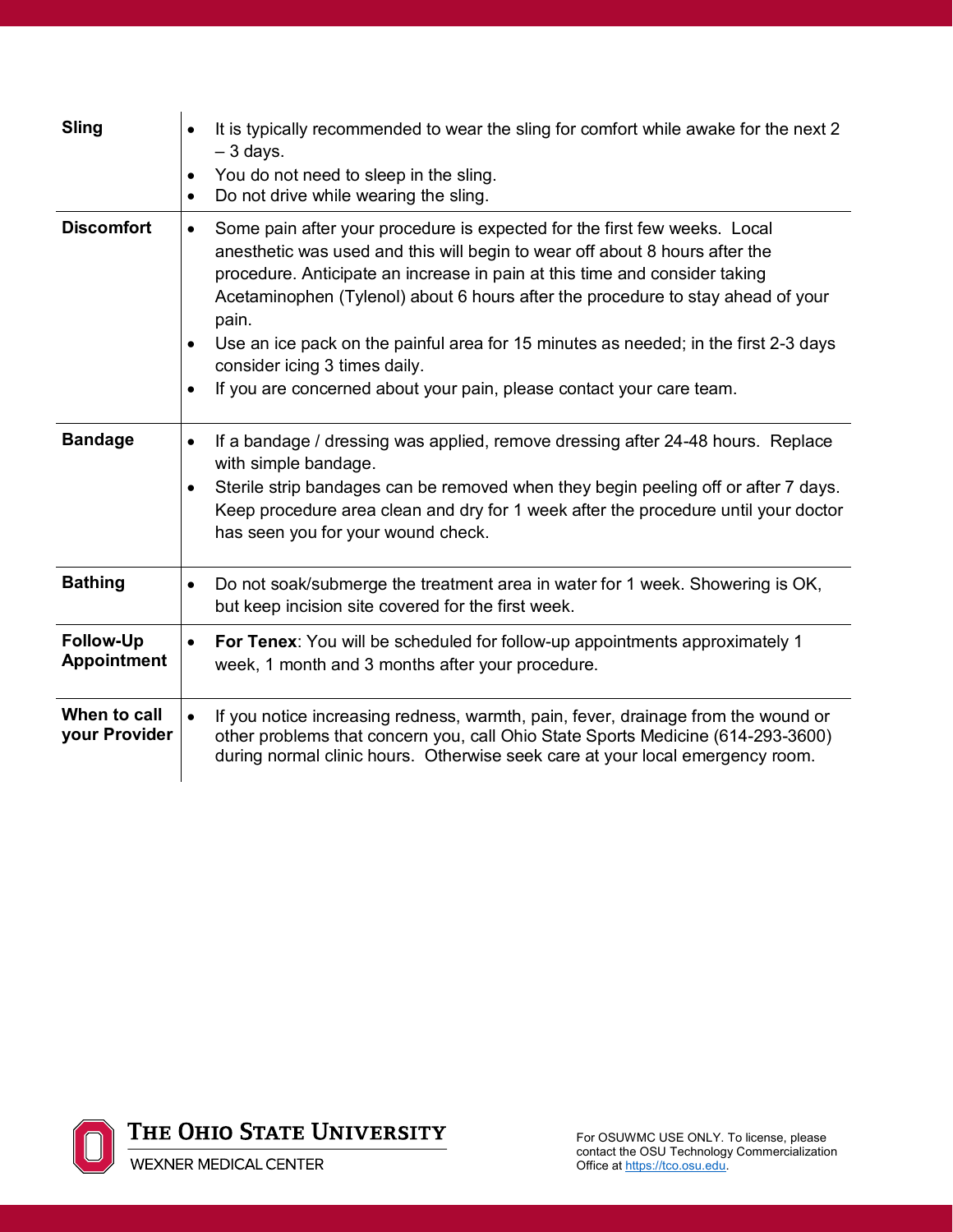| <b>Sling</b>                           | It is typically recommended to wear the sling for comfort while awake for the next 2<br>$\bullet$<br>$-3$ days.<br>You do not need to sleep in the sling.<br>Do not drive while wearing the sling.<br>$\bullet$                                                                                                                                                                                                                                                                                                                                              |
|----------------------------------------|--------------------------------------------------------------------------------------------------------------------------------------------------------------------------------------------------------------------------------------------------------------------------------------------------------------------------------------------------------------------------------------------------------------------------------------------------------------------------------------------------------------------------------------------------------------|
| <b>Discomfort</b>                      | Some pain after your procedure is expected for the first few weeks. Local<br>$\bullet$<br>anesthetic was used and this will begin to wear off about 8 hours after the<br>procedure. Anticipate an increase in pain at this time and consider taking<br>Acetaminophen (Tylenol) about 6 hours after the procedure to stay ahead of your<br>pain.<br>Use an ice pack on the painful area for 15 minutes as needed; in the first 2-3 days<br>consider icing 3 times daily.<br>If you are concerned about your pain, please contact your care team.<br>$\bullet$ |
| <b>Bandage</b>                         | If a bandage / dressing was applied, remove dressing after 24-48 hours. Replace<br>$\bullet$<br>with simple bandage.<br>Sterile strip bandages can be removed when they begin peeling off or after 7 days.<br>Keep procedure area clean and dry for 1 week after the procedure until your doctor<br>has seen you for your wound check.                                                                                                                                                                                                                       |
| <b>Bathing</b>                         | Do not soak/submerge the treatment area in water for 1 week. Showering is OK,<br>$\bullet$<br>but keep incision site covered for the first week.                                                                                                                                                                                                                                                                                                                                                                                                             |
| <b>Follow-Up</b><br><b>Appointment</b> | For Tenex: You will be scheduled for follow-up appointments approximately 1<br>$\bullet$<br>week, 1 month and 3 months after your procedure.                                                                                                                                                                                                                                                                                                                                                                                                                 |
| When to call<br>your Provider          | If you notice increasing redness, warmth, pain, fever, drainage from the wound or<br>$\bullet$<br>other problems that concern you, call Ohio State Sports Medicine (614-293-3600)<br>during normal clinic hours. Otherwise seek care at your local emergency room.                                                                                                                                                                                                                                                                                           |

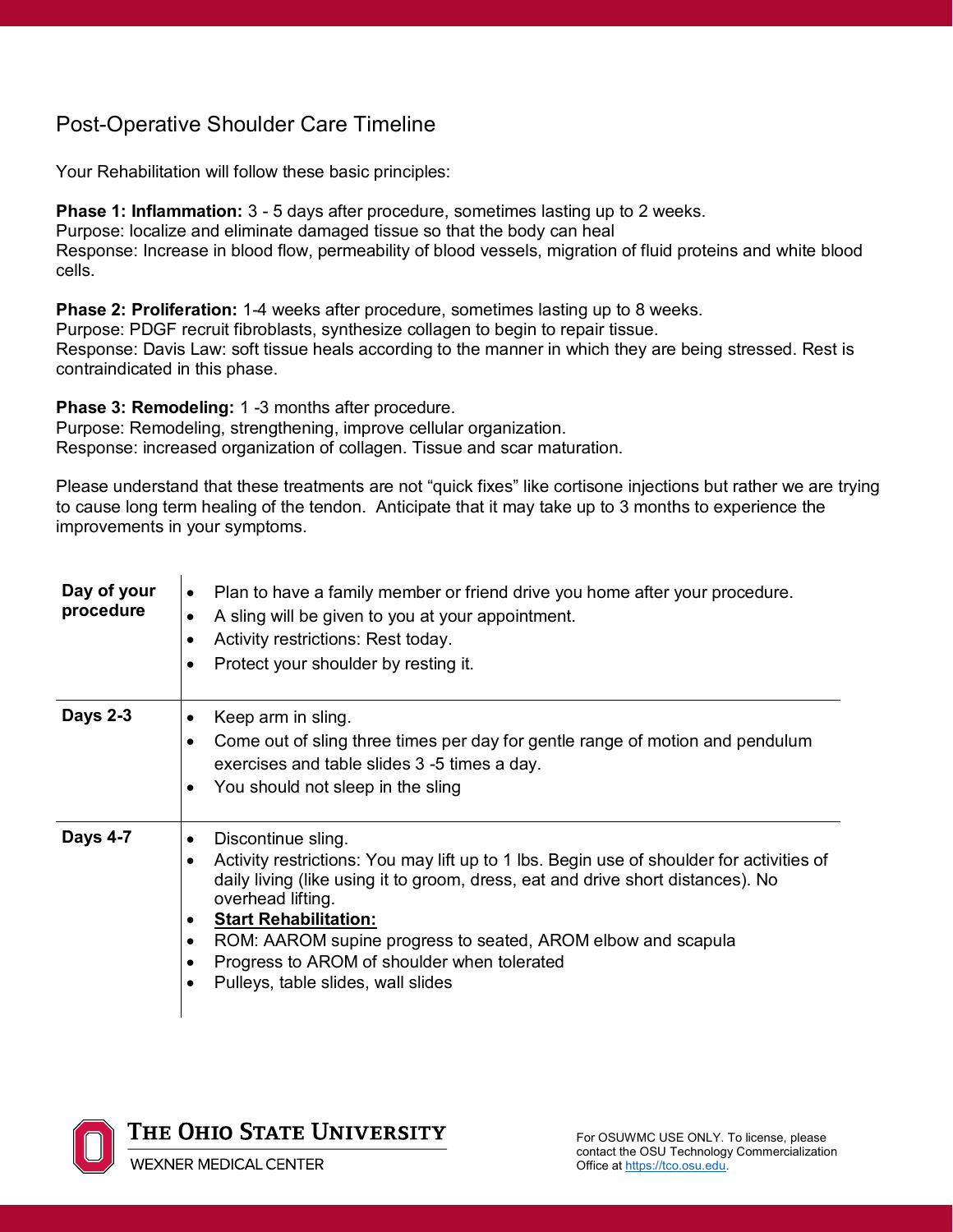## Post-Operative Shoulder Care Timeline

Your Rehabilitation will follow these basic principles:

**Phase 1: Inflammation:** 3 - 5 days after procedure, sometimes lasting up to 2 weeks. Purpose: localize and eliminate damaged tissue so that the body can heal Response: Increase in blood flow, permeability of blood vessels, migration of fluid proteins and white blood cells.

**Phase 2: Proliferation:** 1-4 weeks after procedure, sometimes lasting up to 8 weeks. Purpose: PDGF recruit fibroblasts, synthesize collagen to begin to repair tissue. Response: Davis Law: soft tissue heals according to the manner in which they are being stressed. Rest is contraindicated in this phase.

**Phase 3: Remodeling:** 1 -3 months after procedure.

Purpose: Remodeling, strengthening, improve cellular organization. Response: increased organization of collagen. Tissue and scar maturation.

Please understand that these treatments are not "quick fixes" like cortisone injections but rather we are trying to cause long term healing of the tendon. Anticipate that it may take up to 3 months to experience the improvements in your symptoms.

| Day of your<br>procedure | Plan to have a family member or friend drive you home after your procedure.<br>٠<br>A sling will be given to you at your appointment.<br>Activity restrictions: Rest today.<br>Protect your shoulder by resting it.                                                                                                                                                                                                   |
|--------------------------|-----------------------------------------------------------------------------------------------------------------------------------------------------------------------------------------------------------------------------------------------------------------------------------------------------------------------------------------------------------------------------------------------------------------------|
| <b>Days 2-3</b>          | Keep arm in sling.<br>Come out of sling three times per day for gentle range of motion and pendulum<br>$\bullet$<br>exercises and table slides 3 -5 times a day.<br>You should not sleep in the sling<br>$\bullet$                                                                                                                                                                                                    |
| <b>Days 4-7</b>          | Discontinue sling.<br>٠<br>Activity restrictions: You may lift up to 1 lbs. Begin use of shoulder for activities of<br>с<br>daily living (like using it to groom, dress, eat and drive short distances). No<br>overhead lifting.<br><b>Start Rehabilitation:</b><br>ROM: AAROM supine progress to seated, AROM elbow and scapula<br>Progress to AROM of shoulder when tolerated<br>Pulleys, table slides, wall slides |

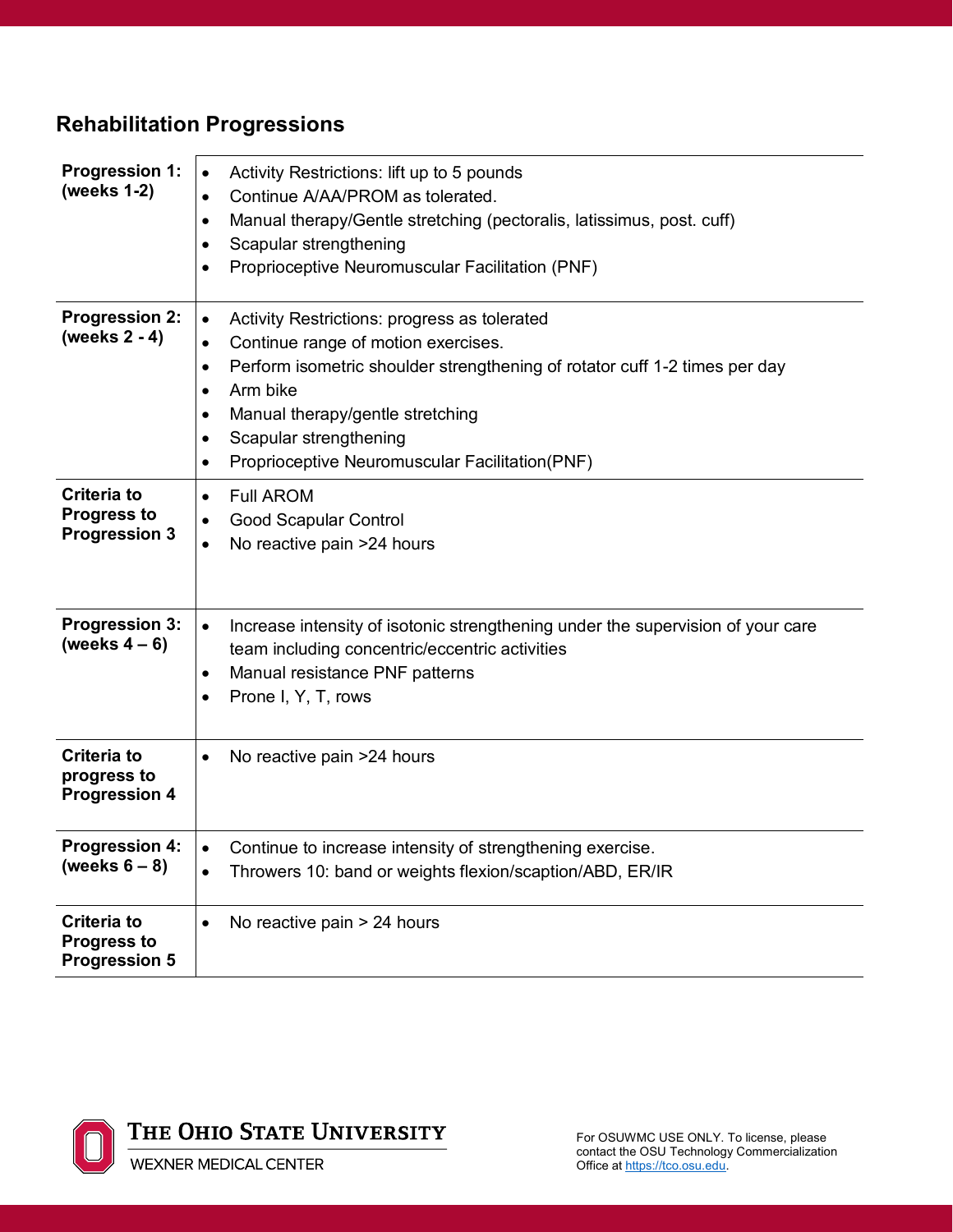# **Rehabilitation Progressions**

| <b>Progression 1:</b><br>(weeks 1-2)                             | Activity Restrictions: lift up to 5 pounds<br>$\bullet$<br>Continue A/AA/PROM as tolerated.<br>$\bullet$<br>Manual therapy/Gentle stretching (pectoralis, latissimus, post. cuff)<br>٠<br>Scapular strengthening<br>٠<br>Proprioceptive Neuromuscular Facilitation (PNF)                                                                                            |
|------------------------------------------------------------------|---------------------------------------------------------------------------------------------------------------------------------------------------------------------------------------------------------------------------------------------------------------------------------------------------------------------------------------------------------------------|
| <b>Progression 2:</b><br>(weeks 2 - 4)                           | Activity Restrictions: progress as tolerated<br>$\bullet$<br>Continue range of motion exercises.<br>$\bullet$<br>Perform isometric shoulder strengthening of rotator cuff 1-2 times per day<br>$\bullet$<br>Arm bike<br>Manual therapy/gentle stretching<br>٠<br>Scapular strengthening<br>$\bullet$<br>Proprioceptive Neuromuscular Facilitation(PNF)<br>$\bullet$ |
| <b>Criteria to</b><br><b>Progress to</b><br><b>Progression 3</b> | <b>Full AROM</b><br>$\bullet$<br><b>Good Scapular Control</b><br>No reactive pain >24 hours<br>٠                                                                                                                                                                                                                                                                    |
| <b>Progression 3:</b><br>(weeks $4-6$ )                          | Increase intensity of isotonic strengthening under the supervision of your care<br>$\bullet$<br>team including concentric/eccentric activities<br>Manual resistance PNF patterns<br>$\bullet$<br>Prone I, Y, T, rows                                                                                                                                                |
| <b>Criteria to</b><br>progress to<br><b>Progression 4</b>        | No reactive pain >24 hours<br>$\bullet$                                                                                                                                                                                                                                                                                                                             |
| <b>Progression 4:</b><br>(weeks $6-8$ )                          | Continue to increase intensity of strengthening exercise.<br>Throwers 10: band or weights flexion/scaption/ABD, ER/IR<br>$\bullet$                                                                                                                                                                                                                                  |
| <b>Criteria to</b><br><b>Progress to</b><br><b>Progression 5</b> | No reactive pain > 24 hours                                                                                                                                                                                                                                                                                                                                         |